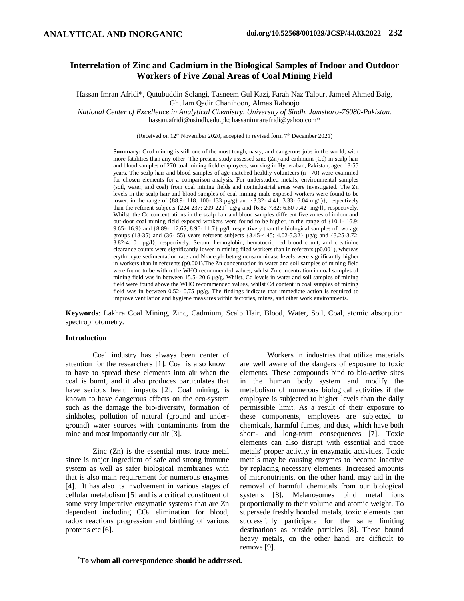# **Interrelation of Zinc and Cadmium in the Biological Samples of Indoor and Outdoor Workers of Five Zonal Areas of Coal Mining Field**

Hassan Imran Afridi\*, Qutubuddin Solangi, Tasneem Gul Kazi, Farah Naz Talpur, Jameel Ahmed Baig, Ghulam Qadir Chanihoon, Almas Rahoojo

*National Center of Excellence in Analytical Chemistry, University of Sindh, Jamshoro-76080-Pakistan.* hassan.afridi@usindh.edu.pk; hassanimranafridi@yahoo.com\*

(Received on 12<sup>th</sup> November 2020, accepted in revised form 7<sup>th</sup> December 2021)

**Summary:** Coal mining is still one of the most tough, nasty, and dangerous jobs in the world, with more fatalities than any other. The present study assessed zinc (Zn) and cadmium (Cd) in scalp hair and blood samples of 270 coal mining field employees, working in Hyderabad, Pakistan, aged 18-55 years. The scalp hair and blood samples of age-matched healthy volunteers (n= 70) were examined for chosen elements for a comparison analysis. For understudied metals, environmental samples (soil, water, and coal) from coal mining fields and nonindustrial areas were investigated. The Zn levels in the scalp hair and blood samples of coal mining male exposed workers were found to be lower, in the range of {88.9- 118; 100- 133 µg/g} and {3.32- 4.41; 3.33- 6.04 mg/l}, respectively than the referent subjects {224-237; 209-221} µg/g and {6.82-7.82; 6.60-7.42 mg/l}, respectively. Whilst, the Cd concentrations in the scalp hair and blood samples different five zones of indoor and out-door coal mining field exposed workers were found to be higher, in the range of {10.1- 16.9; 9.65- 16.9} and {8.89- 12.65; 8.96- 11.7} µg/l, respectively than the biological samples of two age groups (18-35) and (36- 55) years referent subjects {3.45-4.45; 4.02-5.32} µg/g and {3.25-3.72; 3.82-4.10 µg/l}, respectively. Serum, hemoglobin, hematocrit, red blood count, and creatinine clearance counts were significantly lower in mining filed workers than in referents (p0.001), whereas erythrocyte sedimentation rate and N-acetyl- beta-glucosaminidase levels were significantly higher in workers than in referents (p0.001).The Zn concentration in water and soil samples of mining field were found to be within the WHO recommended values, whilst Zn concentration in coal samples of mining field was in between 15.5- 20.6 µg/g. Whilst, Cd levels in water and soil samples of mining field were found above the WHO recommended values, whilst Cd content in coal samples of mining field was in between 0.52- 0.75 µg/g. The findings indicate that immediate action is required to improve ventilation and hygiene measures within factories, mines, and other work environments.

**Keywords**: Lakhra Coal Mining, Zinc, Cadmium, Scalp Hair, Blood, Water, Soil, Coal, atomic absorption spectrophotometry.

# **Introduction**

Coal industry has always been center of attention for the researchers [1]. Coal is also known to have to spread these elements into air when the coal is burnt, and it also produces particulates that have serious health impacts [2]. Coal mining, is known to have dangerous effects on the eco-system such as the damage the bio-diversity, formation of sinkholes, pollution of natural (ground and underground) water sources with contaminants from the mine and most importantly our air [3].

Zinc (Zn) is the essential most trace metal since is major ingredient of safe and strong immune system as well as safer biological membranes with that is also main requirement for numerous enzymes [4]. It has also its involvement in various stages of cellular metabolism [5] and is a critical constituent of some very imperative enzymatic systems that are Zn dependent including  $CO<sub>2</sub>$  elimination for blood, radox reactions progression and birthing of various proteins etc [6].

Workers in industries that utilize materials are well aware of the dangers of exposure to toxic elements. These compounds bind to bio-active sites in the human body system and modify the metabolism of numerous biological activities if the employee is subjected to higher levels than the daily permissible limit. As a result of their exposure to these components, employees are subjected to chemicals, harmful fumes, and dust, which have both short- and long-term consequences [7]. Toxic elements can also disrupt with essential and trace metals' proper activity in enzymatic activities. Toxic metals may be causing enzymes to become inactive by replacing necessary elements. Increased amounts of micronutrients, on the other hand, may aid in the removal of harmful chemicals from our biological systems [8]. Melanosomes bind metal ions proportionally to their volume and atomic weight. To supersede freshly bonded metals, toxic elements can successfully participate for the same limiting destinations as outside particles [8]. These bound heavy metals, on the other hand, are difficult to remove [9].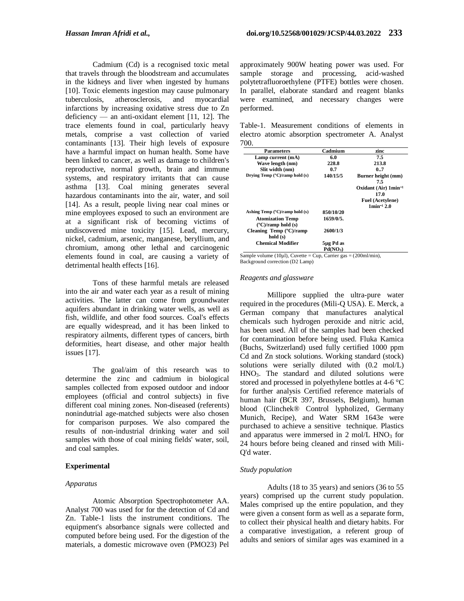Cadmium (Cd) is a recognised toxic metal that travels through the bloodstream and accumulates in the kidneys and liver when ingested by humans [10]. Toxic elements ingestion may cause pulmonary tuberculosis, atherosclerosis, and myocardial infarctions by increasing oxidative stress due to Zn deficiency — an anti-oxidant element [11, 12]. The trace elements found in coal, particularly heavy metals, comprise a vast collection of varied contaminants [13]. Their high levels of exposure have a harmful impact on human health. Some have been linked to cancer, as well as damage to children's reproductive, normal growth, brain and immune systems, and respiratory irritants that can cause asthma [13]. Coal mining generates several hazardous contaminants into the air, water, and soil [14]. As a result, people living near coal mines or mine employees exposed to such an environment are at a significant risk of becoming victims of undiscovered mine toxicity [15]. Lead, mercury, nickel, cadmium, arsenic, manganese, beryllium, and chromium, among other lethal and carcinogenic elements found in coal, are causing a variety of detrimental health effects [16].

Tons of these harmful metals are released into the air and water each year as a result of mining activities. The latter can come from groundwater aquifers abundant in drinking water wells, as well as fish, wildlife, and other food sources. Coal's effects are equally widespread, and it has been linked to respiratory ailments, different types of cancers, birth deformities, heart disease, and other major health issues [17].

The goal/aim of this research was to determine the zinc and cadmium in biological samples collected from exposed outdoor and indoor employees (official and control subjects) in five different coal mining zones. Non-diseased (referents) nonindutrial age-matched subjects were also chosen for comparison purposes. We also compared the results of non-industrial drinking water and soil samples with those of coal mining fields' water, soil, and coal samples.

#### **Experimental**

#### *Apparatus*

Atomic Absorption Spectrophotometer AA. Analyst 700 was used for for the detection of Cd and Zn. Table-1 lists the instrument conditions. The equipment's absorbance signals were collected and computed before being used. For the digestion of the materials, a domestic microwave oven (PMO23) Pel approximately 900W heating power was used. For sample storage and processing, acid-washed polytetrafluoroethylene (PTFE) bottles were chosen. In parallel, elaborate standard and reagent blanks were examined, and necessary changes were performed.

Table-1. Measurement conditions of elements in electro atomic absorption spectrometer A. Analyst 700.

| <b>Parameters</b>                          | Cadmium              | zinc                             |
|--------------------------------------------|----------------------|----------------------------------|
| Lamp current (mA)                          | 6.0                  | 7.5                              |
| Wave length (nm)                           | 228.8                | 213.8                            |
| Slit width (nm)                            | 0.7                  | 0.7                              |
| Drying Temp $(^{\circ}C)/$ ramp hold $(s)$ | 140/15/5             | Burner height (mm)               |
|                                            |                      | 7.5                              |
|                                            |                      | Oxidant (Air) 1min <sup>-1</sup> |
|                                            |                      | 17.0                             |
|                                            |                      | <b>Fuel (Acetylene)</b>          |
|                                            |                      | $1 \text{min}^{-1} 2.0$          |
| Ashing Temp $(^{\circ}C)/r$ amp hold $(s)$ | 850/10/20            |                                  |
| <b>Atomization Temp</b>                    | 1659/0/5.            |                                  |
| $(^{\circ}C)/$ ramp hold $(s)$             |                      |                                  |
| Cleaning Temp $(^{\circ}C)/ramp$           | 2600/1/3             |                                  |
| hold(s)                                    |                      |                                  |
| <b>Chemical Modifier</b>                   | 5µg Pd as            |                                  |
|                                            | Pd(NO <sub>3</sub> ) |                                  |

Sample volume (10 $\mu$ l), Cuvette = Cup, Carrier gas = (200ml/min), Background correction (D2 Lamp)

#### *Reagents and glassware*

Millipore supplied the ultra-pure water required in the procedures (Mili-Q USA). E. Merck, a German company that manufactures analytical chemicals such hydrogen peroxide and nitric acid, has been used. All of the samples had been checked for contamination before being used. Fluka Kamica (Buchs, Switzerland) used fully certified 1000 ppm Cd and Zn stock solutions. Working standard (stock) solutions were serially diluted with (0.2 mol/L) HNO3. The standard and diluted solutions were stored and processed in polyethylene bottles at 4-6 °C for further analysis Certified reference materials of human hair (BCR 397, Brussels, Belgium), human blood (Clinchek® Control lypholized, Germany Munich, Recipe), and Water SRM 1643e were purchased to achieve a sensitive technique. Plastics and apparatus were immersed in  $2 \text{ mol/L HNO}_3$  for 24 hours before being cleaned and rinsed with Mili-Q'd water.

# *Study population*

Adults (18 to 35 years) and seniors (36 to 55 years) comprised up the current study population. Males comprised up the entire population, and they were given a consent form as well as a separate form, to collect their physical health and dietary habits. For a comparative investigation, a referent group of adults and seniors of similar ages was examined in a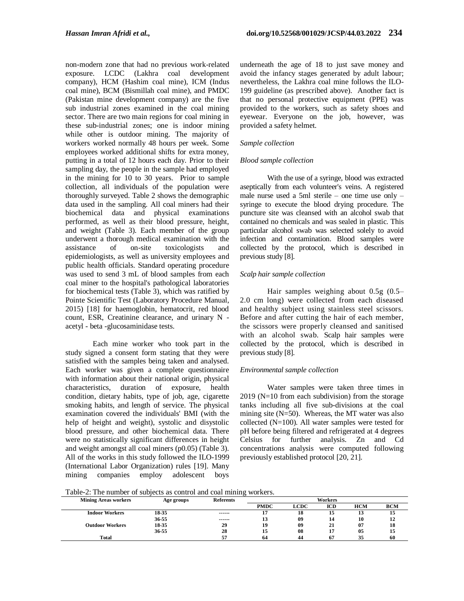non-modern zone that had no previous work-related exposure. LCDC (Lakhra coal development company), HCM (Hashim coal mine), ICM (Indus coal mine), BCM (Bismillah coal mine), and PMDC (Pakistan mine development company) are the five sub industrial zones examined in the coal mining sector. There are two main regions for coal mining in these sub-industrial zones; one is indoor mining while other is outdoor mining. The majority of workers worked normally 48 hours per week. Some employees worked additional shifts for extra money, putting in a total of 12 hours each day. Prior to their sampling day, the people in the sample had employed in the mining for 10 to 30 years. Prior to sample collection, all individuals of the population were thoroughly surveyed. Table 2 shows the demographic data used in the sampling. All coal miners had their biochemical data and physical examinations performed, as well as their blood pressure, height, and weight (Table 3). Each member of the group underwent a thorough medical examination with the assistance of on-site toxicologists and epidemiologists, as well as university employees and public health officials. Standard operating procedure was used to send 3 mL of blood samples from each coal miner to the hospital's pathological laboratories for biochemical tests (Table 3), which was ratified by Pointe Scientific Test (Laboratory Procedure Manual, 2015) [18] for haemoglobin, hematocrit, red blood count, ESR, Creatinine clearance, and urinary N acetyl - beta -glucosaminidase tests.

Each mine worker who took part in the study signed a consent form stating that they were satisfied with the samples being taken and analysed. Each worker was given a complete questionnaire with information about their national origin, physical characteristics, duration of exposure, health condition, dietary habits, type of job, age, cigarette smoking habits, and length of service. The physical examination covered the individuals' BMI (with the help of height and weight), systolic and disystolic blood pressure, and other biochemical data. There were no statistically significant differences in height and weight amongst all coal miners (p0.05) (Table 3). All of the works in this study followed the ILO-1999 (International Labor Organization) rules [19]. Many mining companies employ adolescent boys

underneath the age of 18 to just save money and avoid the infancy stages generated by adult labour; nevertheless, the Lakhra coal mine follows the ILO-199 guideline (as prescribed above). Another fact is that no personal protective equipment (PPE) was provided to the workers, such as safety shoes and eyewear. Everyone on the job, however, was provided a safety helmet.

# *Sample collection*

## *Blood sample collection*

With the use of a syringe, blood was extracted aseptically from each volunteer's veins. A registered male nurse used a 5ml sterile – one time use only – syringe to execute the blood drying procedure. The puncture site was cleansed with an alcohol swab that contained no chemicals and was sealed in plastic. This particular alcohol swab was selected solely to avoid infection and contamination. Blood samples were collected by the protocol, which is described in previous study [8].

## *Scalp hair sample collection*

Hair samples weighing about 0.5g (0.5– 2.0 cm long) were collected from each diseased and healthy subject using stainless steel scissors. Before and after cutting the hair of each member, the scissors were properly cleansed and sanitised with an alcohol swab. Scalp hair samples were collected by the protocol, which is described in previous study [8].

# *Environmental sample collection*

Water samples were taken three times in 2019 (N=10 from each subdivision) from the storage tanks including all five sub-divisions at the coal mining site (N=50). Whereas, the MT water was also collected (N=100). All water samples were tested for pH before being filtered and refrigerated at 4 degrees Celsius for further analysis. Zn and Cd concentrations analysis were computed following previously established protocol [20, 21].

Table-2: The number of subjects as control and coal mining workers.

| <b>Mining Areas workers</b> | Age groups | Referents | Workers     |      |     |            |            |
|-----------------------------|------------|-----------|-------------|------|-----|------------|------------|
|                             |            |           | <b>PMDC</b> | LCDC | ICD | <b>HCM</b> | <b>BCM</b> |
| <b>Indoor Workers</b>       | 18-35      | ------    |             | 18   | 15  | ⊷          | 15         |
|                             | 36-55      | ------    | 13          | 09   | 14  | 10         | 12         |
| <b>Outdoor Workers</b>      | 18-35      | 29        | 19          | 09   | 21  | 07         | 18         |
|                             | 36-55      | 28        | 15          | 08   | 17  | 05         | 13         |
| <b>Total</b>                |            |           | 64          | 44   | 67  | 35         | 60         |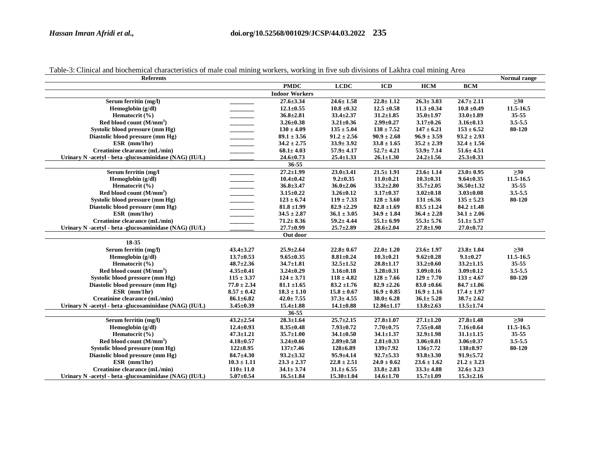| <b>Referents</b>                                       |                 |                       |                  |                  |                 | Normal range     |             |
|--------------------------------------------------------|-----------------|-----------------------|------------------|------------------|-----------------|------------------|-------------|
|                                                        |                 | <b>PMDC</b>           | <b>LCDC</b>      | <b>ICD</b>       | <b>HCM</b>      | <b>BCM</b>       |             |
|                                                        |                 | <b>Indoor Workers</b> |                  |                  |                 |                  |             |
| Serum ferritin (mg/l)                                  |                 | 27.6±3.34             | $24.6 \pm 1.58$  | $22.8 \pm 1.12$  | $26.3 \pm 3.03$ | $24.7 \pm 2.11$  | $\geq 30$   |
| Hemoglobin (g/dl)                                      |                 | $12.1 \pm 0.55$       | $10.8 \pm 0.32$  | $12.5 \pm 0.58$  | $11.3 \pm 0.34$ | $10.8 \pm 0.49$  | 11.5-16.5   |
| Hematocrit (%)                                         |                 | $36.8 \pm 2.81$       | $33.4 \pm 2.37$  | $31.2 \pm 1.85$  | $35.0 \pm 1.97$ | $33.0 \pm 1.89$  | $35 - 55$   |
| Red blood count (M/mm <sup>3</sup> )                   |                 | $3.26 \pm 0.38$       | $3.21 \pm 0.36$  | $2.99 \pm 0.27$  | $3.17 \pm 0.26$ | $3.16 \pm 0.13$  | $3.5 - 5.5$ |
| Systolic blood pressure (mm Hg)                        |                 | $130 \pm 4.09$        | $135 \pm 5.04$   | $138 \pm 7.52$   | $147 \pm 6.21$  | $153 \pm 6.52$   | 80-120      |
| Diastolic blood pressure (mm Hg)                       |                 | $89.1 \pm 3.56$       | $91.2 \pm 2.56$  | $90.9 \pm 2.68$  | $96.9 \pm 3.59$ | $93.2 \pm 2.93$  |             |
| $ESR$ (mm/1hr)                                         |                 | $34.2 \pm 2.75$       | $33.9 \pm 3.92$  | $33.8 \pm 1.65$  | $35.2 \pm 2.39$ | $32.4 \pm 1.56$  |             |
| Creatinine clearance (mL/min)                          |                 | $68.1 \pm 4.03$       | $57.9 \pm 4.17$  | $52.7 \pm 4.21$  | $53.9 \pm 7.14$ | $51.6 \pm 4.51$  |             |
| Urinary N -acetyl - beta -glucosaminidase (NAG) (IU/L) |                 | $24.6 \pm 0.73$       | $25.4 \pm 1.33$  | $26.1 \pm 1.30$  | $24.2 \pm 1.56$ | $25.3 \pm 0.33$  |             |
|                                                        |                 | 36-55                 |                  |                  |                 |                  |             |
| Serum ferritin (mg/l                                   |                 | $27.2 \pm 1.99$       | $23.0 \pm 3.41$  | $21.5 \pm 1.91$  | $23.6 \pm 1.14$ | $23.0 \pm 0.95$  | $\geq 30$   |
| Hemoglobin (g/dl)                                      |                 | $10.4 \pm 0.42$       | $9.2 \pm 0.35$   | $11.0 \pm 0.21$  | $10.3 \pm 0.31$ | $9.64 \pm 0.35$  | 11.5-16.5   |
| Hematocrit (%)                                         |                 | $36.8 \pm 3.47$       | $36.0 \pm 2.06$  | $33.2 \pm 2.80$  | $35.7 \pm 2.05$ | $36.50 \pm 1.32$ | 35-55       |
| Red blood count (M/mm <sup>3</sup> )                   |                 | $3.15 \pm 0.22$       | $3.26 \pm 0.12$  | $3.17 \pm 0.37$  | $3.02 \pm 0.18$ | $3.03 \pm 0.08$  | $3.5 - 5.5$ |
| Systolic blood pressure (mm Hg)                        |                 | $123 \pm 6.74$        | $119 \pm 7.33$   | $128 \pm 3.60$   | $131 \pm 6.36$  | $135 \pm 5.23$   | 80-120      |
| Diastolic blood pressure (mm Hg)                       |                 | $81.8 \pm 1.99$       | $82.9 \pm 2.29$  | $82.8 \pm 1.69$  | $83.5 \pm 1.24$ | $84.2 \pm 1.48$  |             |
| $ESR$ (mm/1hr)                                         |                 | $34.5 \pm 2.87$       | $36.1 \pm 3.05$  | $34.9 \pm 1.84$  | $36.4 \pm 2.28$ | $34.1 \pm 2.06$  |             |
| Creatinine clearance (mL/min)                          |                 | $71.2 \pm 8.36$       | $59.2 \pm 4.44$  | $55.1 \pm 6.99$  | $55.3 \pm 5.76$ | $51.1 \pm 5.37$  |             |
| Urinary N -acetyl - beta -glucosaminidase (NAG) (IU/L) |                 | $27.7 \pm 0.99$       | $25.7 \pm 2.89$  | $28.6 \pm 2.04$  | $27.8 \pm 1.90$ | $27.0 \pm 0.72$  |             |
|                                                        |                 | Out door              |                  |                  |                 |                  |             |
| 18-35                                                  |                 |                       |                  |                  |                 |                  |             |
| Serum ferritin (mg/l)                                  | $43.4 \pm 3.27$ | $25.9 \pm 2.64$       | $22.8 \pm 0.67$  | $22.0 \pm 1.20$  | $23.6 \pm 1.97$ | $23.8 \pm 1.04$  | $\geq 30$   |
| Hemoglobin (g/dl)                                      | $13.7 \pm 0.53$ | $9.65 \pm 0.35$       | $8.81 \pm 0.24$  | $10.3 \pm 0.21$  | $9.62 \pm 0.28$ | $9.1 \pm 0.27$   | 11.5-16.5   |
| Hematocrit (%)                                         | $48.7 \pm 2.36$ | $34.7 \pm 1.81$       | $32.5 \pm 1.52$  | $28.8 \pm 1.17$  | $33.2 \pm 0.60$ | $33.2 \pm 1.15$  | 35-55       |
| Red blood count (M/mm <sup>3</sup> )                   | $4.35 \pm 0.41$ | $3.24 \pm 0.29$       | $3.16 \pm 0.18$  | $3.28 \pm 0.31$  | $3.09 \pm 0.16$ | $3.09 \pm 0.12$  | $3.5 - 5.5$ |
| Systolic blood pressure (mm Hg)                        | $115 \pm 3.37$  | $124 \pm 3.71$        | $118 \pm 4.82$   | $128 \pm 7.66$   | $129 \pm 7.70$  | $133 \pm 4.67$   | 80-120      |
| Diastolic blood pressure (mm Hg)                       | $77.0 \pm 2.34$ | $81.1 \pm 1.65$       | $83.2 \pm 1.76$  | $82.9 \pm 2.26$  | $83.0 \pm 0.66$ | $84.7 \pm 1.06$  |             |
| $ESR$ (mm/1hr)                                         | $8.57 \pm 0.42$ | $18.3 \pm 1.10$       | $15.8 \pm 0.67$  | $16.9 \pm 0.85$  | $16.9 \pm 1.16$ | $17.4 \pm 1.97$  |             |
| Creatinine clearance (mL/min)                          | $86.1 \pm 6.82$ | $42.0 \pm 7.55$       | $37.3 \pm 4.55$  | $38.0 \pm 6.28$  | $36.1 \pm 5.28$ | $38.7 \pm 2.62$  |             |
| Urinary N -acetyl - beta -glucosaminidase (NAG) (IU/L) | $3.45 \pm 0.39$ | $15.4 \pm 1.88$       | $14.1 \pm 0.88$  | $12.86 \pm 1.17$ | $13.8 \pm 2.63$ | $13.5 \pm 1.74$  |             |
|                                                        |                 | 36-55                 |                  |                  |                 |                  |             |
| Serum ferritin (mg/l)                                  | $43.2 \pm 2.54$ | $28.3 \pm 1.64$       | $25.7 \pm 2.15$  | $27.8 + 1.07$    | $27.1 \pm 1.20$ | $27.8 + 1.48$    | $\geq 30$   |
| Hemoglobin $(g/dl)$                                    | $12.4 \pm 0.93$ | $8.35 \pm 0.48$       | $7.93 \pm 0.72$  | $7.70 \pm 0.75$  | $7.55 \pm 0.48$ | $7.16 \pm 0.64$  | 11.5-16.5   |
| Hematocrit (%)                                         | $47.3 \pm 1.21$ | $35.7 \pm 1.00$       | $34.1 \pm 0.50$  | $34.1 \pm 1.37$  | $32.9 \pm 1.98$ | $31.1 \pm 1.15$  | 35-55       |
| Red blood count (M/mm <sup>3</sup> )                   | $4.18 \pm 0.57$ | $3.24 \pm 0.60$       | $2.89 \pm 0.58$  | $2.81 \pm 0.33$  | $3.06 \pm 0.81$ | $3.06 \pm 0.37$  | $3.5 - 5.5$ |
| Systolic blood pressure (mm Hg)                        | $122 \pm 8.95$  | $137 \pm 7.46$        | $128 \pm 6.89$   | $139 \pm 7.92$   | $136 \pm 7.72$  | $138 + 8.97$     | 80-120      |
| Diastolic blood pressure (mm Hg)                       | $84.7 \pm 4.30$ | $93.2 \pm 3.32$       | $95.9 \pm 4.14$  | $92.7 \pm 5.33$  | $93.8 \pm 3.30$ | $91.9 \pm 5.72$  |             |
| $ESR$ (mm/1hr)                                         | $10.3 \pm 1.11$ | $23.3 \pm 2.37$       | $22.8 \pm 2.51$  | $24.0 \pm 0.62$  | $23.6 \pm 1.62$ | $21.2 \pm 3.23$  |             |
| Creatinine clearance (mL/min)                          | $110 \pm 11.0$  | $34.1 \pm 3.74$       | $31.1 \pm 6.55$  | $33.8 \pm 2.83$  | $33.3 \pm 4.88$ | $32.6 \pm 3.23$  |             |
| Urinary N -acetyl - beta -glucosaminidase (NAG) (IU/L) | $5.07 \pm 0.54$ | $16.5 \pm 1.84$       | $15.30 \pm 1.04$ | $14.6 \pm 1.70$  | $15.7 \pm 1.09$ | $15.3 \pm 2.16$  |             |

Table-3: Clinical and biochemical characteristics of male coal mining workers, working in five sub divisions of Lakhra coal mining Area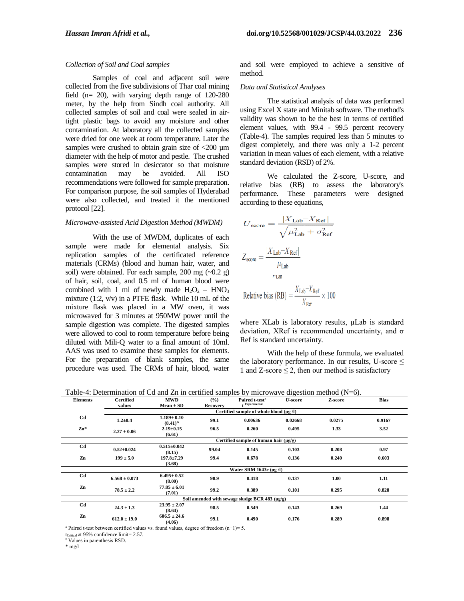## *Collection of Soil and Coal samples*

Samples of coal and adjacent soil were collected from the five subdivisions of Thar coal mining field (n= 20), with varying depth range of 120-280 meter, by the help from Sindh coal authority. All collected samples of soil and coal were sealed in airtight plastic bags to avoid any moisture and other contamination. At laboratory all the collected samples were dried for one week at room temperature. Later the samples were crushed to obtain grain size of  $\langle 200 \rangle$  µm diameter with the help of motor and pestle. The crushed samples were stored in desiccator so that moisture contamination may be avoided. All ISO recommendations were followed for sample preparation. For comparison purpose, the soil samples of Hyderabad were also collected, and treated it the mentioned protocol [22].

#### *Microwave-assisted Acid Digestion Method (MWDM)*

With the use of MWDM, duplicates of each sample were made for elemental analysis. Six replication samples of the certificated reference materials (CRMs) (blood and human hair, water, and soil) were obtained. For each sample, 200 mg  $(\sim 0.2 \text{ g})$ of hair, soil, coal, and 0.5 ml of human blood were combined with 1 ml of newly made  $H_2O_2 - HNO_3$ mixture (1:2, v/v) in a PTFE flask. While 10 mL of the mixture flask was placed in a MW oven, it was microwaved for 3 minutes at 950MW power until the sample digestion was complete. The digested samples were allowed to cool to room temperature before being diluted with Mili-Q water to a final amount of 10ml. AAS was used to examine these samples for elements. For the preparation of blank samples, the same procedure was used. The CRMs of hair, blood, water

and soil were employed to achieve a sensitive of method.

#### *Data and Statistical Analyses*

The statistical analysis of data was performed using Excel X state and Minitab software. The method's validity was shown to be the best in terms of certified element values, with 99.4 - 99.5 percent recovery (Table-4). The samples required less than 5 minutes to digest completely, and there was only a 1-2 percent variation in mean values of each element, with a relative standard deviation (RSD) of 2%.

We calculated the Z-score, U-score, and relative bias (RB) to assess the laboratory's performance. These parameters were designed according to these equations,

$$
U_{\text{score}} = \frac{|X_{\text{Lab}} - X_{\text{Ref}}|}{\sqrt{\mu_{\text{Lab}}^2 + \sigma_{\text{Ref}}^2}}
$$

$$
Z_{\text{score}} = \frac{|X_{\text{Lab}} - X_{\text{Ref}}|}{\mu_{\text{Lab}}}
$$
Relative bias (RB) =  $\frac{X_{\text{Lab}} - X_{\text{Ref}}}{X_{\text{Ref}}} \times 100$ 

where XLab is laboratory results, μLab is standard deviation, XRef is recommended uncertainty, and σ Ref is standard uncertainty.

With the help of these formula, we evaluated the laboratory performance. In our results, U-score  $\leq$ 1 and Z-score  $\leq$  2, then our method is satisfactory

Table-4: Determination of Cd and Zn in certified samples by microwave digestion method (N=6).

| <b>Elements</b> | <b>Certified</b>  | <b>MWD</b>        | (%)      | Paired t-test <sup>a</sup>                          | $U$ -score | Z-score | <b>Bias</b> |
|-----------------|-------------------|-------------------|----------|-----------------------------------------------------|------------|---------|-------------|
|                 | values            | $Mean \pm SD$     | Recovery | Experimental                                        |            |         |             |
|                 |                   |                   |          | Certified sample of whole blood (µg /l)             |            |         |             |
| C <sub>d</sub>  | $1.2 + 0.4$       | $1.189 \pm 0.10$  | 99.1     | 0.00636                                             | 0.02668    | 0.0275  | 0.9167      |
|                 |                   | $(8.41)^{b}$      |          |                                                     |            |         |             |
| $\mathbf{Zn}^*$ | $2.27 \pm 0.06$   | $2.19 \pm 0.15$   | 96.5     | 0.260                                               | 0.495      | 1.33    | 3.52        |
|                 |                   | (6.61)            |          |                                                     |            |         |             |
|                 |                   |                   |          | Certified sample of human hair $(\mu g/g)$          |            |         |             |
| Cd              | $0.52 \pm 0.024$  | $0.515 \pm 0.042$ | 99.04    | 0.145                                               | 0.103      | 0.208   | 0.97        |
|                 |                   | (8.15)            |          |                                                     |            |         |             |
| Zn              | $199 \pm 5.0$     | $197.8 + 7.29$    | 99.4     | 0.678                                               | 0.136      | 0.240   | 0.603       |
|                 |                   | (3.68)            |          |                                                     |            |         |             |
|                 |                   |                   |          | Water SRM 1643e (µg /l)                             |            |         |             |
| Cd              | $6.568 \pm 0.073$ | $6.495 \pm 0.52$  | 98.9     | 0.418                                               | 0.137      | 1.00    | 1.11        |
|                 |                   | (8.00)            |          |                                                     |            |         |             |
| Zn              | $78.5 \pm 2.2$    | $77.85 \pm 6.01$  | 99.2     | 0.389                                               | 0.101      | 0.295   | 0.828       |
|                 |                   | (7.01)            |          |                                                     |            |         |             |
|                 |                   |                   |          | Soil amended with sewage sludge BCR 483 $(\mu g/g)$ |            |         |             |
| Cd              |                   | $23.95 \pm 2.07$  |          |                                                     |            |         |             |
|                 | $24.3 \pm 1.3$    | (8.64)            | 98.5     | 0.549                                               | 0.143      | 0.269   | 1.44        |
| Zn              |                   | $606.5 \pm 24.6$  | 99.1     |                                                     |            |         |             |
|                 | $612.0 \pm 19.0$  | (4.06)            |          | 0.490                                               | 0.176      | 0.289   | 0.898       |

<sup>a</sup> Paired t-test between certified values vs. found values, degree of freedom (n−1)= 5.

t<sub>Critical</sub> at 95% confidence limit= 2.57.<br><sup>b</sup> Values in parenthesis RSD.

 $^{\ast}$ mg/l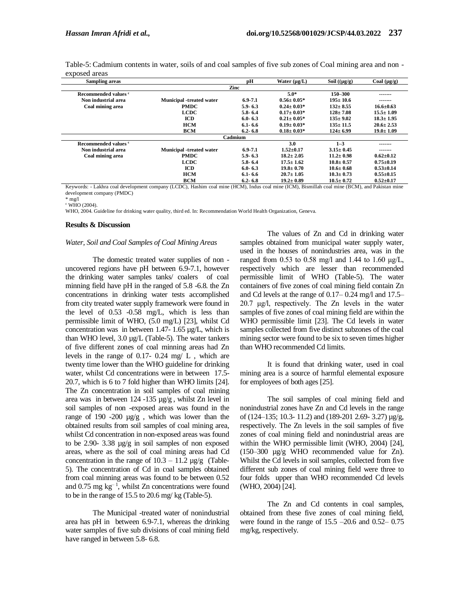| <b>Sampling areas</b> |                                 | рH          | Water $(\mu g/L)$ | Soil $((\mu g/g))$ | Coal $(\mu g/g)$ |
|-----------------------|---------------------------------|-------------|-------------------|--------------------|------------------|
|                       |                                 | Zinc        |                   |                    |                  |
| Recommended values c  |                                 |             | $5.0*$            | 150-300            | -------          |
| Non industrial area   | <b>Municipal -treated water</b> | $6.9 - 7.1$ | $0.56 \pm 0.05*$  | $195 \pm 10.6$     | -------          |
| Coal mining area      | <b>PMDC</b>                     | $5.9 - 6.3$ | $0.24 \pm 0.03*$  | $132 + 8.55$       | $16.6 \pm 0.63$  |
|                       | <b>LCDC</b>                     | $5.8 - 6.4$ | $0.17 \pm 0.03*$  | $128 + 7.08$       | $15.5 \pm 1.09$  |
|                       | ICD                             | $6.0 - 6.3$ | $0.21 \pm 0.05*$  | $135 \pm 9.02$     | $18.3 \pm 1.95$  |
|                       | <b>HCM</b>                      | $6.1 - 6.6$ | $0.19 \pm 0.03*$  | $135 \pm 11.5$     | $20.6 \pm 2.53$  |
|                       | <b>BCM</b>                      | $6.2 - 6.8$ | $0.18 \pm 0.03*$  | $124 \pm 6.99$     | $19.0 \pm 1.09$  |
|                       |                                 | Cadmium     |                   |                    |                  |
| Recommended values c  |                                 |             | 3.0               | $1 - 3$            | -------          |
| Non industrial area   | <b>Municipal</b> -treated water | $6.9 - 7.1$ | $1.52 \pm 0.17$   | $3.15 \pm 0.45$    | -------          |
| Coal mining area      | <b>PMDC</b>                     | $5.9 - 6.3$ | $18.2 \pm 2.05$   | $11.2 \pm 0.98$    | $0.62 \pm 0.12$  |
|                       | <b>LCDC</b>                     | $5.8 - 6.4$ | $17.5 \pm 1.62$   | $10.8 \pm 0.57$    | $0.75 \pm 0.19$  |
|                       | ICD                             | $6.0 - 6.3$ | $19.8 \pm 0.70$   | $10.6 \pm 0.68$    | $0.53 + 0.14$    |
|                       | <b>HCM</b>                      | $6.1 - 6.6$ | $20.7 \pm 1.05$   | $10.3 \pm 0.73$    | $0.55 + 0.15$    |
|                       | <b>BCM</b>                      | $6.2 - 6.8$ | $19.2 \pm 0.89$   | $10.5 \pm 0.72$    | $0.52{\pm}0.17$  |

Table-5: Cadmium contents in water, soils of and coal samples of five sub zones of Coal mining area and non exposed areas

Keywords: - Lakhra coal development company (LCDC), Hashim coal mine (HCM), Indus coal mine (ICM), Bismillah coal mine (BCM), and Pakistan mine development company (PMDC)

 $*$  mg/l

<sup>c</sup> WHO (2004).

WHO, 2004. Guideline for drinking water quality, third ed. In: Recommendation World Health Organization, Geneva.

#### **Results & Discussion**

#### *Water, Soil and Coal Samples of Coal Mining Areas*

The domestic treated water supplies of non uncovered regions have pH between 6.9-7.1, however the drinking water samples tanks/ coalers of coal minning field have pH in the ranged of 5.8 -6.8. the Zn concentrations in drinking water tests accomplished from city treated water supply framework were found in the level of 0.53 -0.58 mg/L, which is less than permissible limit of WHO, (5.0 mg/L) [23], whilst Cd concentration was in between 1.47- 1.65 µg/L, which is than WHO level, 3.0 µg/L (Table-5). The water tankers of five different zones of coal minning areas had Zn levels in the range of 0.17- 0.24 mg/ L , which are twenty time lower than the WHO guideline for drinking water, whilst Cd concentrations were in between 17.5- 20.7, which is 6 to 7 fold higher than WHO limits [24]. The Zn concentration in soil samples of coal mining area was in between 124 -135 µg/g , whilst Zn level in soil samples of non -exposed areas was found in the range of 190 -200  $\mu$ g/g, which was lower than the obtained results from soil samples of coal mining area, whilst Cd concentration in non-exposed areas was found to be 2.90- 3.38 µg/g in soil samples of non exposed areas, where as the soil of coal mining areas had Cd concentration in the range of  $10.3 - 11.2 \mu g/g$  (Table-5). The concentration of Cd in coal samples obtained from coal minning areas was found to be between 0.52 and  $0.75$  mg  $\text{kg}^{-1}$ , whilst Zn concentrations were found to be in the range of 15.5 to 20.6 mg/ kg (Table-5).

The Municipal -treated water of nonindustrial area has pH in between 6.9-7.1, whereas the drinking water samples of five sub divisions of coal mining field have ranged in between 5.8- 6.8.

The values of Zn and Cd in drinking water samples obtained from municipal water supply water, used in the houses of nonindustries area, was in the ranged from 0.53 to 0.58 mg/l and 1.44 to 1.60 μg/L, respectively which are lesser than recommended permissible limit of WHO (Table-5). The water containers of five zones of coal mining field contain Zn and Cd levels at the range of 0.17– 0.24 mg/l and 17.5– 20.7 μg/l, respectively. The Zn levels in the water samples of five zones of coal mining field are within the WHO permissible limit [23]. The Cd levels in water samples collected from five distinct subzones of the coal mining sector were found to be six to seven times higher than WHO recommended Cd limits.

It is found that drinking water, used in coal mining area is a source of harmful elemental exposure for employees of both ages [25].

The soil samples of coal mining field and nonindustrial zones have Zn and Cd levels in the range of (124–135; 10.3- 11.2) and (189-201 2.69- 3.27) µg/g, respectively. The Zn levels in the soil samples of five zones of coal mining field and nonindustrial areas are within the WHO permissible limit (WHO, 2004) [24], (150–300 µg/g WHO recommended value for Zn). Whilst the Cd levels in soil samples, collected from five different sub zones of coal mining field were three to four folds upper than WHO recommended Cd levels (WHO, 2004) [24].

The Zn and Cd contents in coal samples, obtained from these five zones of coal mining field, were found in the range of 15.5 –20.6 and 0.52– 0.75 mg/kg, respectively.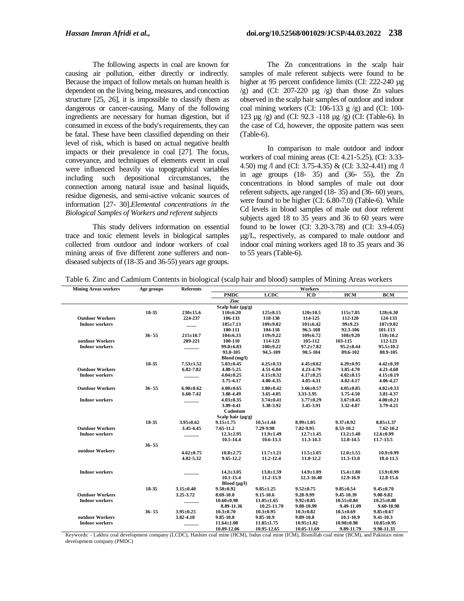The following aspects in coal are known for causing air pollution, either directly or indirectly. Because the impact of follow metals on human health is dependent on the living being, measures, and concoction structure [25, 26], it is impossible to classify them as dangerous or cancer-causing. Many of the following ingredients are necessary for human digestion, but if consumed in excess of the body's requirements, they can be fatal. These have been classified depending on their level of risk, which is based on actual negative health impacts or their prevalence in coal [27]. The focus, conveyance, and techniques of elements event in coal were influenced heavily via topographical variables including such depositional circumstances, the connection among natural issue and basinal liquids, residue digenesis, and semi-active volcanic sources of information [27- 30].*Elemental concentrations in the Biological Samples of Workers and referent subjects*

This study delivers information on essential trace and toxic element levels in biological samples collected from outdoor and indoor workers of coal mining areas of five different zone sufferers and nondiseased subjects of (18-35 and 36-55) years age groups.

The Zn concentrations in the scalp hair samples of male referent subjects were found to be higher at 95 percent confidence limits (CI: 222-240 µg  $(g)$  and (CI: 207-220  $\mu$ g /g) than those Zn values observed in the scalp hair samples of outdoor and indoor coal mining workers (CI: 106-133 g  $/g$ ) and (CI: 100-123 µg /g) and (CI: 92.3 -118 µg /g) (CI: (Table-6). In the case of Cd, however, the opposite pattern was seen (Table-6).

In comparison to male outdoor and indoor workers of coal mining areas (CI: 4.21-5.25), (CI: 3.33- 4.50) mg /l and (CI: 3.75-4.35) & (CI: 3.32-4.41) mg /l in age groups  $(18-35)$  and  $(36-55)$ , the Zn concentrations in blood samples of male out door referent subjects, age ranged (18- 35) and (36- 60) years, were found to be higher (CI: 6.80-7.0) (Table-6). While Cd levels in blood samples of male out door referent subjects aged 18 to 35 years and 36 to 60 years were found to be lower (CI: 3.20-3.78) and (CI: 3.9-4.05) µg/L, respectively, as compared to male outdoor and indoor coal mining workers aged 18 to 35 years and 36 to 55 years (Table-6).

| Table 6. Zinc and Cadmium Contents in biological (scalp hair and blood) samples of Mining Areas workers |  |  |  |  |
|---------------------------------------------------------------------------------------------------------|--|--|--|--|
|                                                                                                         |  |  |  |  |

| <b>Mining Areas workers</b> | Age groups | <b>Referents</b>             |                            |                  | Workers                      |                              |                  |
|-----------------------------|------------|------------------------------|----------------------------|------------------|------------------------------|------------------------------|------------------|
|                             |            |                              | <b>PMDC</b>                | <b>LCDC</b>      | <b>ICD</b>                   | <b>HCM</b>                   | <b>BCM</b>       |
|                             |            |                              | Zinc                       |                  |                              |                              |                  |
|                             |            |                              | Scalp hair $(\mu g/g)$     |                  |                              |                              |                  |
|                             | 18-35      | $230 + 15.6$                 | $110+6.20$                 | $125 \pm 8.15$   | $120 \pm 10.5$               | $115 + 7.05$                 | $128 \pm 6.30$   |
| <b>Outdoor Workers</b>      |            | 224-237                      | 106-133                    | 118-130          | 114-125                      | 112-120                      | 124-133          |
| <b>Indoor workers</b>       |            |                              | $105 \pm 7.13$             | $109 + 9.02$     | $101 \pm 6.42$               | $99 + 9.23$                  | $107 + 9.02$     |
|                             |            |                              | 100-111                    | 104-118          | 96.5-108                     | 92.3-106                     | 101-113          |
|                             | 36 55      | $215 \pm 10.7$               | $104 \pm 6.33$             | 119±9.22         | $109 \pm 6.72$               | $108 + 9.20$                 | $118 + 10.2$     |
| outdoor Workers             |            | 209 221                      | 100-110                    | 114-123          | 105-112                      | 103-115                      | 112-123          |
| <b>Indoor workers</b>       |            |                              | $99.0 \pm 6.83$            | $100 + 9.22$     | $97.2 + 7.82$                | $95.2 \pm 8.44$              | $95.5 \pm 10.2$  |
|                             |            |                              | 93.0-105                   | 94.5-109         | 90.5-104                     | 89.6-102                     | 88.9-105         |
|                             |            |                              | Blood (mg/l)               |                  |                              |                              |                  |
|                             | 18-35      | $7.53 \pm 1.52$              | $5.03 \pm 0.45$            | $4.25 \pm 0.33$  | $4.45 \pm 0.62$              | $4.29 \pm 0.95$              | $4.42 \pm 0.39$  |
| <b>Outdoor Workers</b>      |            | 6.82-7.82                    | 4.80-5.25                  | 4.51-6.04        | 4.23-4.79                    | 3.85-4.70                    | 4.21-4.60        |
| <b>Indoor workers</b>       |            |                              | $4.04 \pm 0.25$            | $4.15 \pm 0.32$  | $4.17 \pm 0.25$              | $4.02 \pm 0.15$              | $4.15 \pm 0.19$  |
|                             |            |                              | 3.75-4.17                  | 4.00-4.35        | 4.05-4.31                    | 4.02-4.17                    | 4.06-4.27        |
| <b>Outdoor Workers</b>      | 36 55      | $6.90 \pm 0.62$              | $4.08 \pm 0.65$            | $3.80 \pm 0.42$  | $3.66 \pm 0.57$              | $4.05 \pm 0.85$              | $4.02 \pm 0.33$  |
|                             |            | 6.60-7.42                    | 3.88-4.49                  | 3.65-4.05        | 3.33-3.95                    | 3.75-4.50                    | 3.81-4.37        |
| <b>Indoor workers</b>       |            |                              | $4.03 \pm 0.35$            | $3.74 \pm 0.41$  | $3.77 \pm 0.29$              | $3.67 \pm 0.45$              | $4.00 \pm 0.21$  |
|                             |            |                              | 3.89-4.41                  | 3.38-3.92        | 3.45-3.91                    | 3.32-4.07                    | 3.79-4.21        |
|                             |            |                              | Cadmium                    |                  |                              |                              |                  |
|                             |            |                              | Scalp hair $(\mu g/g)$     |                  |                              |                              |                  |
|                             | 18-35      | $3.95 \pm 0.62$              | $9.15 \pm 1.75$            | $10.5 \pm 1.44$  | $8.99 \pm 1.05$              | $9.37 \pm 0.92$              | $8.85 \pm 1.37$  |
| <b>Outdoor Workers</b>      |            | 3.45-4.45                    | 7.65-11.2                  | 7.29-9.98        | 7.82-9.95                    | 8.53-10.2                    | 7.62-10.2        |
| <b>Indoor workers</b>       |            |                              | $12.3 \pm 2.95$            | $11.9 \pm 1.49$  | $12.7 \pm 1.45$              | $13.2 \pm 1.40$              | $12.6 \pm 0.99$  |
|                             |            |                              | 10.5-14.4                  | 10.6-13.3        | 11.3-14.3                    | 12.0-14.5                    | 11.7-13.5        |
|                             | 36 55      |                              |                            |                  |                              |                              |                  |
| outdoor Workers             |            |                              |                            |                  |                              |                              |                  |
|                             |            | $4.62 \pm 0.75$<br>4.02-5.32 | $10.8 + 2.75$<br>9.65-12.2 | $11.7 + 1.21$    | $11.5 \pm 1.05$<br>11.0-12.2 | $12.0 \pm 1.55$<br>11.3-13.0 | $10.9 + 0.99$    |
|                             |            |                              |                            | 11.2-12.4        |                              |                              | 10.4-11.5        |
|                             |            |                              |                            |                  |                              |                              |                  |
| <b>Indoor workers</b>       |            |                              | $14.3 \pm 3.05$            | $13.8 \pm 1.59$  | $14.9 \pm 1.89$              | $15.4 \pm 1.80$              | $13.9 \pm 0.99$  |
|                             |            |                              | 10.1-15.4                  | 11.2-15.9        | 12.3-16.40                   | 12.9-16.9                    | 12.8-15.6        |
|                             |            |                              | Blood (µg/l)               |                  |                              |                              |                  |
|                             | 18-35      | $3.15 \pm 0.40$              | $9.50 \pm 0.92$            | $9.85 \pm 1.25$  | $9.52 \pm 0.75$              | $9.85 \pm 0.54$              | $9.45 \pm 0.70$  |
| <b>Outdoor Workers</b>      |            | 3.25 3.72                    | 8.69-10.0                  | $9.15 - 10.6$    | 9.28-9.99                    | 9.45-10.39                   | 9.00-9.82        |
| <b>Indoor workers</b>       |            |                              | $10.60 \pm 0.98$           | $11.05 \pm 1.65$ | $9.92 \pm 0.85$              | $10.55 \pm 0.84$             | $10.25 \pm 0.80$ |
|                             |            |                              | 8.89-11.36                 | 10.25-11.70      | 9.08-10.99                   | 9.49-11.09                   | 9.60-10.98       |
|                             | $36 - 55$  | $3.95 \pm 0.25$              | $10.3 \pm 0.70$            | $10.3 \pm 0.95$  | $10.3 \pm 0.82$              | $10.5 \pm 0.69$              | $9.85 \pm 0.67$  |
| outdoor Workers             |            | 3.82-4.10                    | 9.85-10.8                  | 9.85-10.9        | 9.89-10.8                    | 10.1-10.9                    | 9.41-10.3        |
| <b>Indoor workers</b>       |            |                              | $11.64 \pm 1.08$           | $11.85 \pm 1.75$ | $10.95 \pm 1.02$             | $10.98 \pm 0.98$             | $10.85 \pm 0.95$ |
|                             |            |                              | 10.89-12.06                | 10.95 12.65      | 10.05 11.69                  | 9.89-11.79                   | 9.90-11.33       |

Keywords: - Lakhra coal development company (LCDC), Hashim coal mine (HCM), Indus coal mine (ICM), Bismillah coal mine (BCM), and Pakistan mine development company (PMDC)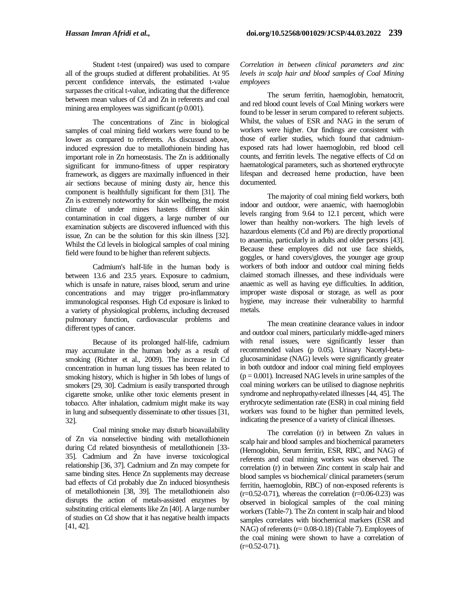Student t-test (unpaired) was used to compare all of the groups studied at different probabilities. At 95 percent confidence intervals, the estimated t-value surpasses the critical t-value, indicating that the difference between mean values of Cd and Zn in referents and coal mining area employees was significant (p 0.001).

The concentrations of Zinc in biological samples of coal mining field workers were found to be lower as compared to referents. As discussed above, induced expression due to metallothionein binding has important role in Zn homeostasis. The Zn is additionally significant for immuno-fitness of upper respiratory framework, as diggers are maximally influenced in their air sections because of mining dusty air, hence this component is healthfully significant for them [31]. The Zn is extremely noteworthy for skin wellbeing, the moist climate of under mines hastens different skin contamination in coal diggers, a large number of our examination subjects are discovered influenced with this issue, Zn can be the solution for this skin illness [32]. Whilst the Cd levels in biological samples of coal mining field were found to be higher than referent subjects.

Cadmium's half-life in the human body is between 13.6 and 23.5 years. Exposure to cadmium, which is unsafe in nature, raises blood, serum and urine concentrations and may trigger pro-inflammatory immunological responses. High Cd exposure is linked to a variety of physiological problems, including decreased pulmonary function, cardiovascular problems and different types of cancer.

Because of its prolonged half-life, cadmium may accumulate in the human body as a result of smoking (Richter et al., 2009). The increase in Cd concentration in human lung tissues has been related to smoking history, which is higher in 5th lobes of lungs of smokers [29, 30]. Cadmium is easily transported through cigarette smoke, unlike other toxic elements present in tobacco. After inhalation, cadmium might make its way in lung and subsequently disseminate to other tissues [31, 32].

Coal mining smoke may disturb bioavailability of Zn via nonselective binding with metallothionein during Cd related biosynthesis of metallothionein [33- 35]. Cadmium and Zn have inverse toxicological relationship [36, 37]. Cadmium and Zn may compete for same binding sites. Hence Zn supplements may decrease bad effects of Cd probably due Zn induced biosynthesis of metallothionein [38, 39]. The metallothionein also disrupts the action of metals-assisted enzymes by substituting critical elements like Zn [40]. A large number of studies on Cd show that it has negative health impacts [41, 42].

*Correlation in between clinical parameters and zinc levels in scalp hair and blood samples of Coal Mining employees* 

The serum ferritin, haemoglobin, hematocrit, and red blood count levels of Coal Mining workers were found to be lesser in serum compared to referent subjects. Whilst, the values of ESR and NAG in the serum of workers were higher. Our findings are consistent with those of earlier studies, which found that cadmiumexposed rats had lower haemoglobin, red blood cell counts, and ferritin levels. The negative effects of Cd on haematological parameters, such as shortened erythrocyte lifespan and decreased heme production, have been documented.

The majority of coal mining field workers, both indoor and outdoor, were anaemic, with haemoglobin levels ranging from 9.64 to 12.1 percent, which were lower than healthy non-workers. The high levels of hazardous elements (Cd and Pb) are directly proportional to anaemia, particularly in adults and older persons [43]. Because these employees did not use face shields, goggles, or hand covers/gloves, the younger age group workers of both indoor and outdoor coal mining fields claimed stomach illnesses, and these individuals were anaemic as well as having eye difficulties. In addition, improper waste disposal or storage, as well as poor hygiene, may increase their vulnerability to harmful metals.

The mean creatinine clearance values in indoor and outdoor coal miners, particularly middle-aged miners with renal issues, were significantly lesser than recommended values (p 0.05). Urinary Nacetyl-betaglucosaminidase (NAG) levels were significantly greater in both outdoor and indoor coal mining field employees  $(p = 0.001)$ . Increased NAG levels in urine samples of the coal mining workers can be utilised to diagnose nephritis syndrome and nephropathy-related illnesses [44, 45]. The erythrocyte sedimentation rate (ESR) in coal mining field workers was found to be higher than permitted levels, indicating the presence of a variety of clinical illnesses.

The correlation (r) in between Zn values in scalp hair and blood samples and biochemical parameters (Hemoglobin, Serum ferritin, ESR, RBC, and NAG) of referents and coal mining workers was observed. The correlation (r) in between Zinc content in scalp hair and blood samples vs biochemical/ clinical parameters (serum ferritin, haemoglobin, RBC) of non-exposed referents is  $(r=0.52-0.71)$ , whereas the correlation  $(r=0.06-0.23)$  was observed in biological samples of the coal mining workers (Table-7). The Zn content in scalp hair and blood samples correlates with biochemical markers (ESR and NAG) of referents (r= 0.08-0.18) (Table 7). Employees of the coal mining were shown to have a correlation of  $(r=0.52-0.71)$ .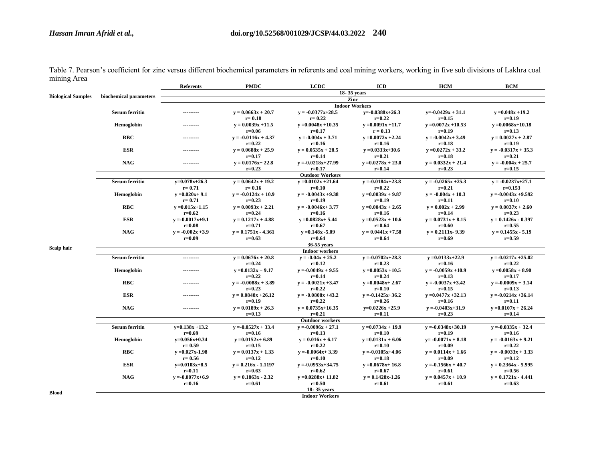|                           |                                                                                                                                                              | <b>Referents</b>                | <b>PMDC</b>                        | <b>LCDC</b>                         | <b>ICD</b>                         | <b>HCM</b>                        | <b>BCM</b>                       |  |  |  |
|---------------------------|--------------------------------------------------------------------------------------------------------------------------------------------------------------|---------------------------------|------------------------------------|-------------------------------------|------------------------------------|-----------------------------------|----------------------------------|--|--|--|
| <b>Biological Samples</b> | biochemical parameters                                                                                                                                       |                                 |                                    |                                     | 18-35 years                        |                                   |                                  |  |  |  |
|                           |                                                                                                                                                              |                                 |                                    |                                     | Zinc                               |                                   |                                  |  |  |  |
|                           |                                                                                                                                                              |                                 |                                    |                                     | <b>Indoor Workers</b>              |                                   |                                  |  |  |  |
|                           | <b>Serum ferritin</b>                                                                                                                                        | ---------                       | $v = 0.0663x + 20.7$               | $y = -0.0377x + 28.5$               | $v=-0.0388x+26.3$                  | $y = -0.0429x + 31.1$             | $y = 0.048x + 19.2$              |  |  |  |
|                           |                                                                                                                                                              |                                 | $r = 0.18$                         | $r = 0.22$                          | $r = 0.22$                         | $r = 0.15$                        | $r=0.19$                         |  |  |  |
|                           | Hemoglobin                                                                                                                                                   | ---------                       | $y = 0.0039x + 11.5$               | $y = 0.0048x + 10.35$               | $v = 0.0091x + 11.7$               | $y = 0.0072x + 10.53$             | $v = 0.0068x + 10.18$            |  |  |  |
|                           |                                                                                                                                                              |                                 | $r = 0.06$                         | $r = 0.17$                          | $r = 0.13$                         | $r = 0.19$                        | $r=0.13$                         |  |  |  |
|                           | <b>RBC</b>                                                                                                                                                   | --------                        | $y = -0.0116x + 4.37$              | $y = -0.004x + 3.71$                | $y = 0.0072x + 2.24$               | $v = -0.0042x + 3.49$             | $y = 0.0027x + 2.87$             |  |  |  |
|                           |                                                                                                                                                              |                                 | $r = 0.22$                         | $r = 0.16$                          | $r = 0.16$                         | $r = 0.18$                        | $r = 0.19$                       |  |  |  |
|                           | <b>ESR</b>                                                                                                                                                   | ---------                       | $y = 0.0688x + 25.9$               | $y = 0.0535x + 28.5$                | $y = 0.0333x + 30.6$               | $y = 0.0272x + 33.2$              | $y = -0.0317x + 35.3$            |  |  |  |
|                           |                                                                                                                                                              |                                 | $r = 0.17$                         | $r = 0.14$                          | $r=0.21$                           | $r = 0.18$                        | $r=0.21$                         |  |  |  |
|                           | <b>NAG</b>                                                                                                                                                   | ---------                       | $y = 0.0176x + 22.8$               | $y = -0.0218x + 27.99$              | $y = 0.0278x + 23.0$               | $y = 0.0332x + 21.4$              | $y = -0.004x + 25.7$             |  |  |  |
|                           |                                                                                                                                                              |                                 | $r=0.23$                           | $r = 0.17$                          | $r = 0.14$                         | $r=0.23$                          | $r = 0.15$                       |  |  |  |
|                           |                                                                                                                                                              |                                 |                                    | <b>Outdoor Workers</b>              |                                    |                                   |                                  |  |  |  |
|                           | <b>Serum ferritin</b>                                                                                                                                        | $v=0.078x+26.3$                 | $y = 0.0642x + 19.2$               | $y = 0.0102x + 21.64$               | $y = -0.0184x + 23.8$              | $y = -0.0265x + 25.3$             | $y = -0.0237x + 27.1$            |  |  |  |
|                           |                                                                                                                                                              | $r = 0.71$                      | $r = 0.16$                         | $r = 0.10$                          | $r=0.22$                           | $r=0.21$                          | $r = 0.153$                      |  |  |  |
|                           | Hemoglobin                                                                                                                                                   | $v = 0.020x + 9.1$              | $y = -0.0124x + 10.9$              | $v = -0.0043x + 9.38$               | $y = 0.0039x + 9.87$<br>$r = 0.19$ | $v = -0.004x + 10.3$              | $v = -0.0043x + 9.592$           |  |  |  |
|                           | <b>RBC</b>                                                                                                                                                   | $r = 0.71$                      | $r=0.23$                           | $r = 0.19$                          |                                    | $r = 0.11$                        | $r = 0.10$                       |  |  |  |
|                           |                                                                                                                                                              | $v = 0.015x + 1.15$<br>$r=0.62$ | $v = 0.0093x + 2.21$<br>$r = 0.24$ | $y = -0.0046x + 3.77$<br>$r = 0.16$ | $y = 0.0043x + 2.65$<br>$r = 0.16$ | $y = 0.002x + 2.99$<br>$r = 0.14$ | $v = 0.0037x + 2.60$<br>$r=0.23$ |  |  |  |
|                           | <b>ESR</b>                                                                                                                                                   | $y = -0.0017x+9.1$              | $y = 0.1217x + 4.88$               | $y = 0.0828x + 5.44$                | $y = 0.0523x + 10.6$               | $y = 0.0731x + 8.15$              | $y = 0.1426x - 0.397$            |  |  |  |
|                           |                                                                                                                                                              | $r = 0.08$                      | $r = 0.71$                         | $r = 0.67$                          | $r = 0.64$                         | $r = 0.60$                        | $r = 0.55$                       |  |  |  |
|                           | <b>NAG</b>                                                                                                                                                   | $y = -0.002x + 3.9$             | $y = 0.1751x - 4.361$              | $y = 0.148x - 5.09$                 | $y = 0.0441x + 7.58$               | $y = 0.2111x - 9.39$              | $y = 0.1455x - 5.19$             |  |  |  |
|                           |                                                                                                                                                              | $r=0.09$                        | $r=0.63$                           | $r = 0.64$                          | $r = 0.64$                         | $r=0.69$                          | $r=0.59$                         |  |  |  |
|                           |                                                                                                                                                              |                                 |                                    | 36-55 years                         |                                    |                                   |                                  |  |  |  |
| Scalp hair                |                                                                                                                                                              |                                 |                                    | <b>Indoor workers</b>               |                                    |                                   |                                  |  |  |  |
|                           | <b>Serum ferritin</b><br>$v = 0.0676x + 20.8$<br>$y = -0.0702x + 28.3$<br>$v = 0.0133x + 22.9$<br>$v = -0.0217x + 25.02$<br>$y = -0.04x + 25.2$<br>--------- |                                 |                                    |                                     |                                    |                                   |                                  |  |  |  |
|                           |                                                                                                                                                              |                                 | $r = 0.24$                         | $r = 0.12$                          | $r=0.23$                           | $r = 0.16$                        | $r=0.22$                         |  |  |  |
|                           | Hemoglobin                                                                                                                                                   | ---------                       | $y = 0.0132x + 9.17$               | $y = -0.0049x + 9.55$               | $v = 0.0053x + 10.5$               | $v = -0.0059x + 10.9$             | $y = 0.0058x + 8.90$             |  |  |  |
|                           |                                                                                                                                                              |                                 | $r = 0.22$                         | $r = 0.14$                          | $r = 0.24$                         | $r = 0.13$                        | $r = 0.17$                       |  |  |  |
|                           | <b>RBC</b>                                                                                                                                                   | ---------                       | $y = -0.0088x + 3.89$              | $y = -0.0021x + 3.47$               | $v = 0.0048x + 2.67$               | $y = -0.0037x + 3.42$             | $y = -0.0009x + 3.14$            |  |  |  |
|                           |                                                                                                                                                              |                                 | $r=0.23$                           | $r=0.22$                            | $r = 0.10$                         | $r = 0.15$                        | $r = 0.13$                       |  |  |  |
|                           | <b>ESR</b>                                                                                                                                                   | --------                        | $y = 0.0848x + 26.12$              | $y = -0.0808x +43.2$                | $y = -0.1425x + 36.2$              | $y = 0.0477x + 32.13$             | $y = -0.0214x + 36.14$           |  |  |  |
|                           |                                                                                                                                                              |                                 | $r = 0.19$                         | $r=0.22$                            | $r = 0.26$                         | $r = 0.16$                        | $r = 0.11$                       |  |  |  |
|                           | <b>NAG</b>                                                                                                                                                   | ---------                       | $y = 0.0189x + 26.3$               | $y = 0.0735x+16.35$                 | $y=0.0226x+25.9$                   | $y = -0.0403x + 31.9$             | $y = 0.0107x + 26.24$            |  |  |  |
|                           |                                                                                                                                                              |                                 | $r = 0.13$                         | $r=0.21$                            | $r = 0.11$                         | $r=0.23$                          | $r = 0.14$                       |  |  |  |
|                           |                                                                                                                                                              |                                 |                                    | <b>Outdoor workers</b>              |                                    |                                   |                                  |  |  |  |
|                           | <b>Serum ferritin</b>                                                                                                                                        | $v=0.138x+13.2$                 | $y = 0.0527x + 33.4$               | $y = -0.0096x + 27.1$               | $y = 0.0734x + 19.9$               | $y = -0.0348x + 30.19$            | $v = -0.0335x + 32.4$            |  |  |  |
|                           |                                                                                                                                                              | $r=0.69$                        | $r = 0.16$                         | $r = 0.13$                          | $r = 0.10$                         | $r=0.19$                          | $r = 0.16$                       |  |  |  |
|                           | Hemoglobin                                                                                                                                                   | $v=0.056x+0.34$                 | $v = 0.0152x + 6.89$               | $v = 0.016x + 6.17$                 | $v = 0.0131x + 6.06$               | $v = -0.0071x + 8.18$             | $v = -0.0163x + 9.21$            |  |  |  |
|                           |                                                                                                                                                              | $r = 0.59$                      | $r = 0.15$                         | $r=0.22$                            | $r = 0.10$                         | $r = 0.09$                        | $r=0.22$                         |  |  |  |
|                           | <b>RBC</b>                                                                                                                                                   | $v = 0.027x - 1.98$             | $v = 0.0137x + 1.33$               | $y = -0.0064x + 3.39$               | $v = -0.0105x+4.06$                | $v = 0.0114x + 1.66$              | $y = -0.0033x + 3.33$            |  |  |  |
|                           |                                                                                                                                                              | $r = 0.56$                      | $r = 0.12$                         | $r = 0.10$                          | $r = 0.18$                         | $r = 0.09$                        | $r = 0.12$                       |  |  |  |
|                           | <b>ESR</b>                                                                                                                                                   | $v=0.0103x+8.5$                 | $v = 0.216x - 1.1197$              | $y = -0.0953x + 34.75$              | $v = 0.0678x + 16.8$               | $v = -0.1566x + 40.7$             | $v = 0.2364x - 5.995$            |  |  |  |
|                           |                                                                                                                                                              | $r = 0.11$                      | $r=0.63$                           | $r=0.62$                            | $r = 0.67$                         | $r = 0.61$                        | $r = 0.56$                       |  |  |  |
|                           | <b>NAG</b>                                                                                                                                                   | $y = -0.0077x+6.9$              | $y = 0.1863x - 2.32$               | $y = 0.0288x + 11.82$               | $y = 0.1428x - 1.26$               | $v = 0.0457x + 10.9$              | $y = 0.1721x - 4.441$            |  |  |  |
|                           |                                                                                                                                                              | $r = 0.16$                      | $r = 0.61$                         | $r = 0.50$                          | $r = 0.61$                         | $r = 0.61$                        | $r=0.63$                         |  |  |  |
| <b>Blood</b>              |                                                                                                                                                              |                                 |                                    | 18-35 years                         |                                    |                                   |                                  |  |  |  |
|                           |                                                                                                                                                              |                                 |                                    | <b>Indoor Workers</b>               |                                    |                                   |                                  |  |  |  |

Table 7. Pearson's coefficient for zinc versus different biochemical parameters in referents and coal mining workers, working in five sub divisions of Lakhra coal mining Area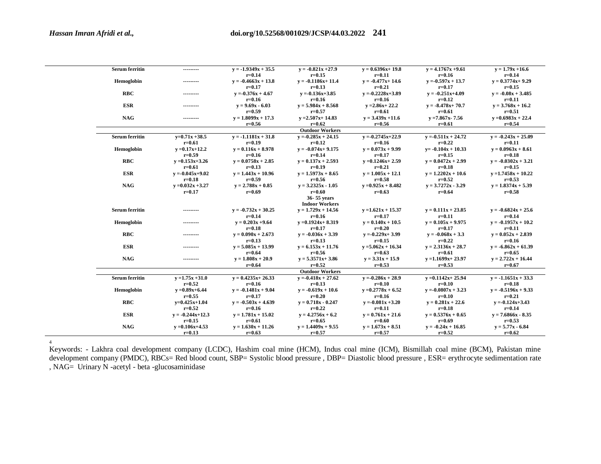| <b>Serum ferritin</b> | ---------           | $y = -1.9349x + 35.5$ | $y = -0.821x + 27.9$   | $v = 0.6396x + 19.8$  | $y = 4.1767x + 9.61$  | $y = 1.79x + 16.6$    |
|-----------------------|---------------------|-----------------------|------------------------|-----------------------|-----------------------|-----------------------|
|                       |                     | $r = 0.14$            | $r = 0.15$             | $r = 0.11$            | $r = 0.16$            | $r = 0.14$            |
| Hemoglobin            | ---------           | $y = -0.4663x + 13.8$ | $y = -0.1186x + 11.4$  | $y = -0.477x + 14.6$  | $y = -0.597x + 13.7$  | $y = 0.3774x + 9.29$  |
|                       |                     | $r = 0.17$            | $r = 0.13$             | $r = 0.21$            | $r = 0.17$            | $r = 0.15$            |
| RBC                   | ---------           | $y = -0.376x + 4.67$  | $v = -0.136x + 3.85$   | $y = -0.2228x + 3.89$ | $y = -0.251x+4.09$    | $y = -0.08x + 3.485$  |
|                       |                     | $r = 0.16$            | $r = 0.16$             | $r = 0.16$            | $r = 0.12$            | $r = 0.11$            |
| <b>ESR</b>            | ---------           | $y = 9.69x - 6.03$    | $y = 5.984x + 8.568$   | $y = 2.86x + 22.2$    | $v = -8.478x + 70.7$  | $y = 3.768x + 16.2$   |
|                       |                     | $r = 0.59$            | $r = 0.57$             | $r = 0.61$            | $r = 0.61$            | $r = 0.51$            |
| NAG                   | ---------           | $y = 1.8099x + 17.3$  | $y = 2.507x + 14.83$   | $y = 3.439x + 11.6$   | $y = 7.867x - 7.56$   | $y = 0.6983x + 22.4$  |
|                       |                     | $r = 0.56$            | $r = 0.62$             | $r = 0.56$            | $r = 0.61$            | $r = 0.54$            |
|                       |                     |                       | <b>Outdoor Workers</b> |                       |                       |                       |
| <b>Serum ferritin</b> | $y=0.71x+38.5$      | $y = -1.1181x + 31.8$ | $y = 0.285x + 24.15$   | $y = -0.2745x + 22.9$ | $y = -0.511x + 24.72$ | $y = -0.243x + 25.09$ |
|                       | $r = 0.61$          | $r = 0.19$            | $r = 0.12$             | $r = 0.16$            | $r=0.22$              | $r = 0.11$            |
| Hemoglobin            | $y = 0.17x + 12.2$  | $y = 0.116x + 8.978$  | $y = -0.074x + 9.175$  | $y = 0.073x + 9.99$   | $y = -0.104x + 10.33$ | $y = 0.0963x + 8.61$  |
|                       | $r=0.59$            | $r = 0.16$            | $r = 0.14$             | $r = 0.17$            | $r = 0.15$            | $r = 0.18$            |
| <b>RBC</b>            | $v = 0.153x + 3.26$ | $v = 0.0758x + 2.85$  | $y = 0.137x + 2.593$   | $y = 0.1246x + 2.59$  | $y = 0.0472x + 2.99$  | $y = -0.0302x + 3.21$ |
|                       | $r = 0.61$          | $r = 0.13$            | $r=0.19$               | $r = 0.21$            | $r = 0.18$            | $r = 0.15$            |
| <b>ESR</b>            | $y = -0.045x+9.02$  | $y = 1.443x + 10.96$  | $y = 1.5973x + 8.65$   | $y = 1.005x + 12.1$   | $y = 1.2202x + 10.6$  | $y = 1.7458x + 10.22$ |
|                       | $r = 0.18$          | $r = 0.59$            | $r = 0.56$             | $r = 0.58$            | $r = 0.52$            | $r = 0.53$            |
| <b>NAG</b>            | $y = 0.032x + 3.27$ | $y = 2.788x + 0.85$   | $y = 3.2325x - 1.05$   | $y = 0.925x + 8.482$  | $y = 3.7272x - 3.29$  | $y = 1.8374x + 5.39$  |
|                       | $r = 0.17$          | $r=0.69$              | $r=0.60$               | $r=0.63$              | $r=0.64$              | $r = 0.58$            |
|                       |                     |                       | 36-55 years            |                       |                       |                       |
|                       |                     |                       | <b>Indoor Workers</b>  |                       |                       |                       |
| <b>Serum ferritin</b> | ---------           | $v = -0.732x + 30.25$ | $y = 1.729x + 14.56$   | $y = 1.621x + 15.37$  | $y = 0.111x + 23.85$  | $y = -0.6824x + 25.6$ |
|                       |                     | $r = 0.14$            | $r = 0.16$             | $r = 0.17$            | $r = 0.11$            | $r = 0.14$            |
| Hemoglobin            | ---------           | $y = 0.203x + 9.64$   | $y = 0.1924x + 8.319$  | $y = 0.140x + 10.5$   | $y = 0.105x + 9.975$  | $y = -0.1957x + 10.2$ |
|                       |                     | $r = 0.18$            | $r = 0.17$             | $r = 0.20$            | $r = 0.17$            | $r = 0.11$            |
| <b>RBC</b>            | ---------           | $v = 0.090x + 2.673$  | $y = -0.036x + 3.39$   | $y = -0.229x + 3.99$  | $y = -0.068x + 3.3$   | $y = 0.052x + 2.839$  |
|                       |                     | $r = 0.13$            | $r = 0.13$             | $r = 0.15$            | $r=0.22$              | $r = 0.16$            |
| <b>ESR</b>            | ---------           | $y = 5.085x + 13.99$  | $y = 6.153x + 11.76$   | $y = 5.062x + 16.34$  | $y = 2.3136x + 28.7$  | $y = -6.862x + 61.39$ |
|                       |                     | $r = 0.64$            | $r = 0.56$             | $r = 0.63$            | $r = 0.61$            | $r = 0.65$            |
| <b>NAG</b>            | ---------           | $y = 1.808x + 20.9$   | $y = 5.3571x + 3.86$   | $y = 3.31x + 15.9$    | $y = 1.1699x + 23.97$ | $y = 2.722x + 16.44$  |
|                       |                     | $r = 0.64$            | $r = 0.52$             | $r = 0.53$            | $r = 0.53$            | $r = 0.67$            |
|                       |                     |                       | <b>Outdoor Workers</b> |                       |                       |                       |
| <b>Serum ferritin</b> | $v = 1.75x + 31.0$  | $v = 0.4235x + 26.33$ | $y = -0.418x + 27.62$  | $v = -0.286x + 28.9$  | $v = 0.1142x + 25.94$ | $y = -1.1651x + 33.3$ |
|                       | $r = 0.52$          | $r = 0.16$            | $r = 0.13$             | $r = 0.10$            | $r = 0.10$            | $r = 0.18$            |
| Hemoglobin            | $v = 0.89x + 6.44$  | $v = -0.1481x + 9.04$ | $y = -0.619x + 10.6$   | $y = 0.2778x + 6.52$  | $y = -0.0807x + 3.23$ | $y = -0.5196x + 9.33$ |
|                       | $r = 0.55$          | $r = 0.17$            | $r = 0.20$             | $r = 0.16$            | $r = 0.10$            | $r = 0.21$            |
| RBC                   | $y=0.425x+1.04$     | $y = -0.503x + 4.639$ | $y = 0.718x - 0.247$   | $y = -0.081x + 3.20$  | $y = 0.281x + 22.6$   | $y = -0.124x + 3.43$  |
|                       | $r = 0.52$          | $r = 0.16$            | $r=0.22$               | $r = 0.11$            | $r = 0.18$            | $r = 0.14$            |
| <b>ESR</b>            | $y = -0.244x+12.3$  | $y = 1.781x + 15.02$  | $y = 4.2756x + 6.2$    | $y = 0.761x + 21.6$   | $y = 0.5376x + 0.65$  | $y = 7.6866x - 8.35$  |
|                       | $r = 0.15$          | $r = 0.61$            | $r = 0.65$             | $r = 0.60$            | $r=0.69$              | $r=0.53$              |
| <b>NAG</b>            | $y = 0.106x + 4.53$ | $y = 1.630x + 11.26$  | $y = 1.4409x + 9.55$   | $y = 1.673x + 8.51$   | $v = -0.24x + 16.85$  | $v = 5.77x - 6.84$    |
|                       | $r = 0.13$          | $r=0.63$              | $r = 0.57$             | $r = 0.57$            | $r = 0.52$            | $r = 0.62$            |
|                       |                     |                       |                        |                       |                       |                       |

4

Keywords: - Lakhra coal development company (LCDC), Hashim coal mine (HCM), Indus coal mine (ICM), Bismillah coal mine (BCM), Pakistan mine development company (PMDC), RBCs= Red blood count, SBP= Systolic blood pressure , DBP= Diastolic blood pressure , ESR= erythrocyte sedimentation rate , NAG= Urinary N -acetyl - beta -glucosaminidase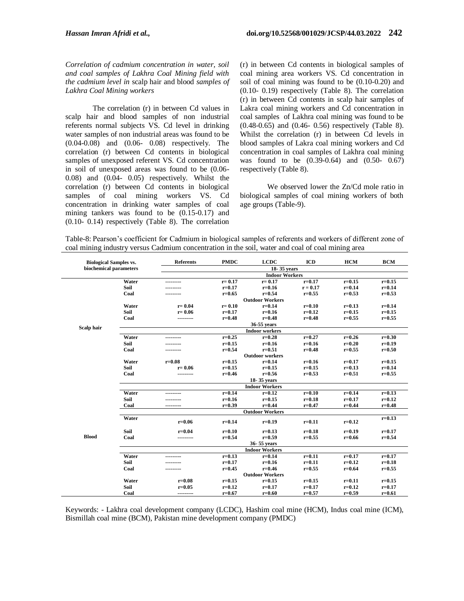*Correlation of cadmium concentration in water, soil and coal samples of Lakhra Coal Mining field with the cadmium level in* scalp hair and blood *samples of Lakhra Coal Mining workers* 

The correlation (r) in between Cd values in scalp hair and blood samples of non industrial referents normal subjects VS. Cd level in drinking water samples of non industrial areas was found to be (0.04-0.08) and (0.06- 0.08) respectively. The correlation (r) between Cd contents in biological samples of unexposed referent VS. Cd concentration in soil of unexposed areas was found to be (0.06- 0.08) and (0.04- 0.05) respectively. Whilst the correlation (r) between Cd contents in biological samples of coal mining workers VS. Cd concentration in drinking water samples of coal mining tankers was found to be (0.15-0.17) and (0.10- 0.14) respectively (Table 8). The correlation

(r) in between Cd contents in biological samples of coal mining area workers VS. Cd concentration in soil of coal mining was found to be (0.10-0.20) and (0.10- 0.19) respectively (Table 8). The correlation (r) in between Cd contents in scalp hair samples of Lakra coal mining workers and Cd concentration in coal samples of Lakhra coal mining was found to be (0.48-0.65) and (0.46- 0.56) respectively (Table 8). Whilst the correlation (r) in between Cd levels in blood samples of Lakra coal mining workers and Cd concentration in coal samples of Lakhra coal mining was found to be (0.39-0.64) and (0.50- 0.67) respectively (Table 8).

We observed lower the Zn/Cd mole ratio in biological samples of coal mining workers of both age groups (Table-9).

Table-8: Pearson's coefficient for Cadmium in biological samples of referents and workers of different zone of coal mining industry versus Cadmium concentration in the soil, water and coal of coal mining area

| <b>Biological Samples vs.</b> |             | <b>Referents</b>       | <b>PMDC</b> | <b>LCDC</b>            | <b>ICD</b> | <b>HCM</b> | <b>BCM</b> |  |  |  |  |  |
|-------------------------------|-------------|------------------------|-------------|------------------------|------------|------------|------------|--|--|--|--|--|
| biochemical parameters        |             |                        |             | 18-35 years            |            |            |            |  |  |  |  |  |
|                               |             |                        |             | <b>Indoor Workers</b>  |            |            |            |  |  |  |  |  |
|                               | Water       | ---------              | $r = 0.17$  | $r = 0.17$             | $r = 0.17$ | $r = 0.15$ | $r = 0.15$ |  |  |  |  |  |
|                               | Soil        |                        | $r = 0.17$  | $r = 0.16$             | $r = 0.17$ | $r = 0.14$ | $r = 0.14$ |  |  |  |  |  |
|                               | Coal        |                        | $r = 0.65$  | $r = 0.54$             | $r = 0.55$ | $r = 0.53$ | $r = 0.53$ |  |  |  |  |  |
|                               |             |                        |             | <b>Outdoor Workers</b> |            |            |            |  |  |  |  |  |
|                               | Water       | $r = 0.04$             | $r = 0.10$  | $r = 0.14$             | $r = 0.10$ | $r = 0.13$ | $r = 0.14$ |  |  |  |  |  |
|                               | Soil        | $r = 0.06$             | $r = 0.17$  | $r = 0.16$             | $r = 0.12$ | $r = 0.15$ | $r = 0.15$ |  |  |  |  |  |
|                               | Coal        | ---------              | $r = 0.48$  | $r = 0.48$             | $r = 0.48$ | $r = 0.55$ | $r = 0.55$ |  |  |  |  |  |
| Scalp hair                    |             | 36-55 years            |             |                        |            |            |            |  |  |  |  |  |
|                               |             |                        |             | <b>Indoor workers</b>  |            |            |            |  |  |  |  |  |
|                               | Water       |                        | $r = 0.25$  | $r = 0.28$             | $r = 0.27$ | $r = 0.26$ | $r = 0.30$ |  |  |  |  |  |
|                               | Soil        |                        | $r = 0.15$  | $r = 0.16$             | $r = 0.16$ | $r = 0.20$ | $r = 0.19$ |  |  |  |  |  |
|                               | Coal        |                        | $r = 0.54$  | $r = 0.51$             | $r = 0.48$ | $r = 0.55$ | $r = 0.50$ |  |  |  |  |  |
|                               |             | <b>Outdoor workers</b> |             |                        |            |            |            |  |  |  |  |  |
|                               | Water       | $r = 0.08$             | $r = 0.15$  | $r = 0.14$             | $r = 0.16$ | $r = 0.17$ | $r = 0.15$ |  |  |  |  |  |
|                               | Soil        | $r = 0.06$             | $r = 0.15$  | $r = 0.15$             | $r = 0.15$ | $r = 0.13$ | $r = 0.14$ |  |  |  |  |  |
|                               | Coal        |                        | $r = 0.46$  | $r = 0.56$             | $r = 0.53$ | $r = 0.51$ | $r = 0.55$ |  |  |  |  |  |
|                               |             |                        |             | 18-35 years            |            |            |            |  |  |  |  |  |
|                               |             |                        |             | <b>Indoor Workers</b>  |            |            |            |  |  |  |  |  |
|                               | Water       | ---------              | $r = 0.14$  | $r = 0.12$             | $r = 0.10$ | $r = 0.14$ | $r = 0.13$ |  |  |  |  |  |
|                               | Soil        |                        | $r = 0.16$  | $r = 0.15$             | $r = 0.18$ | $r = 0.17$ | $r = 0.12$ |  |  |  |  |  |
|                               | Coal        | --------               | $r=0.39$    | $r = 0.44$             | $r = 0.47$ | $r = 0.44$ | $r = 0.48$ |  |  |  |  |  |
|                               |             | <b>Outdoor Workers</b> |             |                        |            |            |            |  |  |  |  |  |
|                               | Water       | $r = 0.06$             | $r = 0.14$  | $r = 0.19$             | $r = 0.11$ | $r = 0.12$ | $r = 0.13$ |  |  |  |  |  |
|                               | <b>Soil</b> | $r = 0.04$             | $r = 0.10$  | $r = 0.13$             | $r = 0.18$ | $r=0.19$   | $r = 0.17$ |  |  |  |  |  |
| <b>Blood</b>                  | Coal        | ---------              | $r = 0.54$  | $r = 0.59$             | $r = 0.55$ | $r = 0.66$ | $r = 0.54$ |  |  |  |  |  |
|                               |             |                        |             | 36-55 years            |            |            |            |  |  |  |  |  |
|                               |             |                        |             | <b>Indoor Workers</b>  |            |            |            |  |  |  |  |  |
|                               | Water       |                        | $r = 0.13$  | $r = 0.14$             | $r = 0.11$ | $r = 0.17$ | $r = 0.17$ |  |  |  |  |  |
|                               | Soil        |                        | $r = 0.17$  | $r = 0.16$             | $r = 0.11$ | $r = 0.12$ | $r = 0.18$ |  |  |  |  |  |
|                               | Coal        |                        | $r = 0.45$  | $r=0.46$               | $r = 0.55$ | $r = 0.64$ | $r = 0.55$ |  |  |  |  |  |
|                               |             |                        |             | <b>Outdoor Workers</b> |            |            |            |  |  |  |  |  |
|                               | Water       | $r = 0.08$             | $r = 0.15$  | $r = 0.15$             | $r = 0.15$ | $r = 0.11$ | $r = 0.15$ |  |  |  |  |  |
|                               | Soil        | $r = 0.05$             | $r = 0.12$  | $r = 0.17$             | $r = 0.17$ | $r = 0.12$ | $r = 0.17$ |  |  |  |  |  |
|                               | Coal        | ---------              | $r = 0.67$  | $r = 0.60$             | $r = 0.57$ | $r = 0.59$ | $r = 0.61$ |  |  |  |  |  |

Keywords: - Lakhra coal development company (LCDC), Hashim coal mine (HCM), Indus coal mine (ICM), Bismillah coal mine (BCM), Pakistan mine development company (PMDC)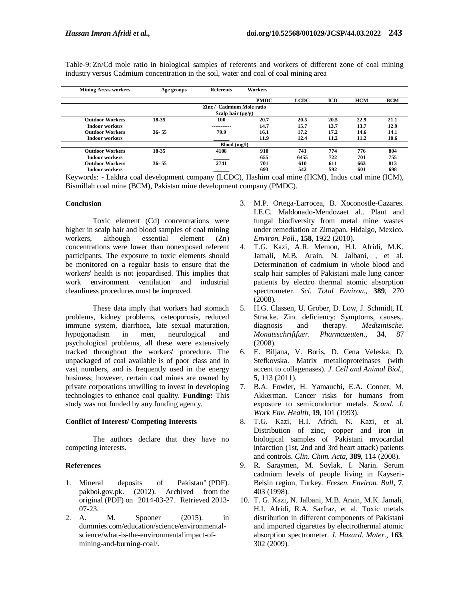| <b>Mining Areas workers</b> | Age groups                | <b>Referents</b>       | <b>Workers</b> |             |      |            |            |  |  |  |  |
|-----------------------------|---------------------------|------------------------|----------------|-------------|------|------------|------------|--|--|--|--|
|                             |                           |                        | <b>PMDC</b>    | <b>LCDC</b> | ICD  | <b>HCM</b> | <b>BCM</b> |  |  |  |  |
|                             | Zinc / Cadmium Mole ratio |                        |                |             |      |            |            |  |  |  |  |
|                             |                           | Scalp hair $(\mu g/g)$ |                |             |      |            |            |  |  |  |  |
| <b>Outdoor Workers</b>      | 18-35                     | 100                    | 20.7           | 20.5        | 20.5 | 22.9       | 21.1       |  |  |  |  |
| Indoor workers              |                           | -----------            | 14.7           | 15.7        | 13.7 | 13.7       | 12.9       |  |  |  |  |
| <b>Outdoor Workers</b>      | $36 - 55$                 | 79.9                   | 16.1           | 17.2        | 17.2 | 14.6       | 14.1       |  |  |  |  |
| <b>Indoor workers</b>       |                           |                        | 11.9           | 12.4        | 11.2 | 11.2       | 10.6       |  |  |  |  |
|                             |                           | Blood (mg/l)           |                |             |      |            |            |  |  |  |  |
| <b>Outdoor Workers</b>      | 18-35                     | 4108                   | 910            | 741         | 774  | 776        | 804        |  |  |  |  |
| <b>Indoor workers</b>       |                           |                        | 655            | 6455        | 722  | 701        | 755        |  |  |  |  |
| <b>Outdoor Workers</b>      | $36 - 55$                 | 2741                   | 701            | 610         | 611  | 663        | 813        |  |  |  |  |
| <b>Indoor workers</b>       |                           |                        | 693            | 542         | 592  | 601        | 698        |  |  |  |  |

Table-9: Zn/Cd mole ratio in biological samples of referents and workers of different zone of coal mining industry versus Cadmium concentration in the soil, water and coal of coal mining area

Keywords: - Lakhra coal development company (LCDC), Hashim coal mine (HCM), Indus coal mine (ICM), Bismillah coal mine (BCM), Pakistan mine development company (PMDC).

## **Conclusion**

Toxic element (Cd) concentrations were higher in scalp hair and blood samples of coal mining workers, although essential element (Zn) concentrations were lower than nonexposed referent participants. The exposure to toxic elements should be monitored on a regular basis to ensure that the workers' health is not jeopardised. This implies that work environment ventilation and industrial cleanliness procedures must be improved.

These data imply that workers had stomach problems, kidney problems, osteoporosis, reduced immune system, diarrhoea, late sexual maturation, hypogonadism in men, neurological and psychological problems, all these were extensively tracked throughout the workers' procedure. The unpackaged of coal available is of poor class and in vast numbers, and is frequently used in the energy business; however, certain coal mines are owned by private corporations unwilling to invest in developing technologies to enhance coal quality. **Funding:** This study was not funded by any funding agency.

# **Conflict of Interest/ Competing Interests**

The authors declare that they have no competing interests.

# **References**

- 1. [Mineral deposits of Pakistan"](https://web.archive.org/web/20140327071859/http:/www.pakboi.gov.pk/pdf/mineral%20sector.pdf) (PDF). pakboi.gov.pk. (2012). Archived from [the](http://www.pakboi.gov.pk/pdf/mineral%20sector.pdf)  [original](http://www.pakboi.gov.pk/pdf/mineral%20sector.pdf) (PDF) on 2014-03-27. Retrieved 2013- 07-23.
- 2. A. M. Spooner (2015). in dummies.com/education/science/environmentalscience/what-is-the-environmentalimpact-ofmining-and-burning-coal/.
- 3. M.P. Ortega-Larrocea, B. Xoconostle-Cazares. I.E.C. Maldonado-Mendozaet al.. Plant and fungal biodiversity from metal mine wastes under remediation at Zimapan, Hidalgo, Mexico*. Environ. Poll.,* **158**, 1922 (2010).
- 4. T.G. Kazi, A.R. Memon, H.I. Afridi, M.K. Jamali, M.B. Arain, N. Jalbani, , et al. Determination of cadmium in whole blood and scalp hair samples of Pakistani male lung cancer patients by electro thermal atomic absorption spectrometer. *Sci. Total Environ.,* **389**, 270 (2008).
- 5. H.G. Classen, U. Grober, D. Low, J. Schmidt, H. Stracke. Zinc deficiency: Symptoms, causes,. diagnosis and therapy. *Medizinische. Monatsschriftfuer. Pharmazeuten*., **34**, 87 (2008).
- 6. E. Biljana, V. Boris, D. Cena Veleska, D. Stefkovska. Matrix metalloproteinases (with accent to collagenases). *J. Cell and Animal Biol.,*  **5**, 113 (2011).
- 7. B.A. Fowler, H. Yamauchi, E.A. Conner, M. Akkerman. Cancer risks for humans from exposure to semiconductor metals. *Scand. J. Work Env. Health,* **19**, 101 (1993).
- 8. T.G. Kazi, H.I. Afridi, N. Kazi, et al. Distribution of zinc, copper and iron in biological samples of Pakistani myocardial infarction (1st, 2nd and 3rd heart attack) patients and controls. *Clin. Chim. Acta,* **389**, 114 (2008).
- 9. R. Saraymen, M. Soylak, I. Narin. Serum cadmium levels of people living in Kayseri-Belsin region, Turkey. *Fresen. Environ. Bull*, **7**, 403 (1998).
- 10. T. G. Kazi, N. Jalbani, M.B. Arain, M.K. Jamali, H.I. Afridi, R.A. Sarfraz, et al. Toxic metals distribution in different components of Pakistani and imported cigarettes by electrothermal atomic absorption spectrometer. *J. Hazard. Mater.,* **163**, 302 (2009).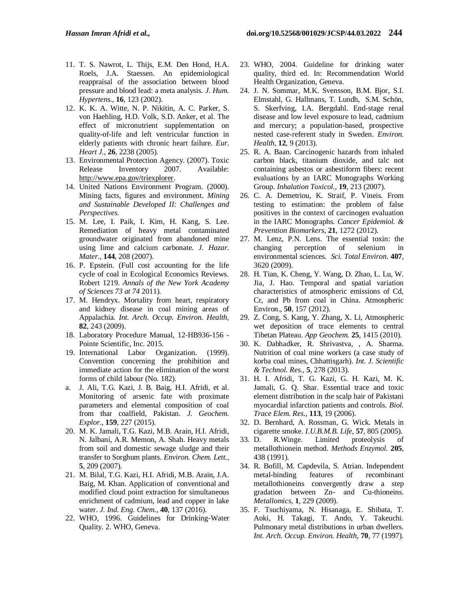- 11. T. S. Nawrot, L. Thijs, E.M. Den Hond, H.A. Roels, J.A. Staessen. An epidemiological reappraisal of the association between blood pressure and blood lead: a meta analysis. *J. Hum. Hypertens.,* **16**, 123 (2002).
- 12. K. K. A. Witte, N. P. Nikitin, A. C. Parker, S. von Haehling, H.D. Volk, S.D. Anker, et al. The effect of micronutrient supplementation on quality-of-life and left ventricular function in elderly patients with chronic heart failure. *Eur. Heart J.,* **26**, 2238 (2005).
- 13. Environmental Protection Agency. (2007). Toxic Release Inventory 2007. Available: [http://www.epa.gov/triexplorer.](http://www.epa.gov/triexplorer)
- 14. United Nations Environment Program. (2000). Mining facts, figures and environment. *Mining and Sustainable Developed II: Challenges and Perspectives.*
- 15. M. Lee, I. Paik, I. Kim, H. Kang, S. Lee. Remediation of heavy metal contaminated groundwater originated from abandoned mine using lime and calcium carbonate*. J. Hazar. Mater.,* **144**, 208 (2007).
- 16. P. Epstein. (Full cost accounting for the life cycle of coal in Ecological Economics Reviews. Robert 1219. *Annals of the New York Academy of Sciences 73 at 74* 2011)*.*
- 17. M. Hendryx. Mortality from heart, respiratory and kidney disease in coal mining areas of Appalachia*. Int. Arch. Occup. Environ. Health,*  **82**, 243 (2009).
- 18. Laboratory Procedure Manual, 12-HB936-156 Pointe Scientific, Inc. 2015.
- 19. International Labor Organization. (1999). Convention concerning the prohibition and immediate action for the elimination of the worst forms of child labour (No. 182).
- a. J. Ali, T.G. Kazi, J. B. Baig, H.I. Afridi, et al. Monitoring of arsenic fate with proximate parameters and elemental composition of coal from thar coalfield, Pakistan. *J. Geochem. Explor.,* **159**, 227 (2015).
- 20. M. K. Jamali, T.G. Kazi, M.B. Arain, H.I. Afridi, N. Jalbani, A.R. Memon, A. Shah. Heavy metals from soil and domestic sewage sludge and their transfer to Sorghum plants. *Environ. Chem. Lett.,* **5**, 209 (2007).
- 21. M. Bilal, T.G. Kazi, H.I. Afridi, M.B. Arain, J.A. Baig, M. Khan. Application of conventional and modified cloud point extraction for simultaneous enrichment of cadmium, lead and copper in lake water. *J. Ind. Eng. Chem.,* **40**, 137 (2016).
- 22. WHO, 1996. Guidelines for Drinking-Water Quality. 2. WHO, Geneva.
- 23. WHO, 2004. Guideline for drinking water quality, third ed. In: Recommendation World Health Organization, Geneva.
- 24. J. N. Sommar, M.K. Svensson, B.M. Bjor, S.I. Elmstahl, G. Hallmans, T. Lundh, S.M. Schön, S. Skerfving, I.A. Bergdahl. End-stage renal disease and low level exposure to lead, cadmium and mercury; a population-based, prospective nested case-referent study in Sweden. *Environ. Health,* **12**, 9 (2013).
- 25. R. A. Baan. Carcinogenic hazards from inhaled carbon black, titanium dioxide, and talc not containing asbestos or asbestiform fibers: recent evaluations by an IARC Monographs Working Group. *Inhalation Toxicol.,* **19**, 213 (2007).
- 26. C. A. Demetriou, K. Straif, P. Vineis. From testing to estimation: the problem of false positives in the context of carcinogen evaluation in the IARC Monographs. *Cancer Epidemiol. & Prevention Biomarkers,* **21**, 1272 (2012).
- 27. M. Lenz, P.N. Lens. The essential toxin: the changing perception of selenium in environmental sciences. *Sci. Total Environ.* **407**, 3620 (2009).
- 28. H. Tian, K. Cheng, Y. Wang, D. Zhao, L. Lu, W. Jia, J. Hao. Temporal and spatial variation characteristics of atmospheric emissions of Cd, Cr, and Pb from coal in China. Atmospheric Environ., **50**, 157 (2012).
- 29. Z. Cong, S. Kang, Y. Zhang, X. Li, Atmospheric wet deposition of trace elements to central Tibetan Plateau. *App Geochem.* **25**, 1415 (2010).
- 30. K. Dabhadker, R. Shrivastva, , A. Sharma. Nutrition of coal mine workers (a case study of korba coal mines, Chhattisgarh). *Int. J. Scientific & Technol. Res.,* **5**, 278 (2013).
- 31. H. I. Afridi, T. G. Kazi, G. H. Kazi, M. K. Jamali, G. Q. Shar. Essential trace and toxic element distribution in the scalp hair of Pakistani myocardial infarction patients and controls. *Biol. Trace Elem. Res.,* **113**, 19 (2006).
- 32. D. Bernhard, A. Rossman, G. Wick. Metals in cigarette smoke. *I.U.B.M.B. Life,* **57**, 805 (2005).
- 33. D. R.Winge. Limited proteolysis of metallothionein method. *Methods Enzymol.* **205**, 438 (1991).
- 34. R. Bofill, M. Capdevila, S. Atrian. Independent metal-binding features of recombinant metallothioneins convergently draw a step gradation between Zn- and Cu-thioneins. *Metallomics*, **1**, 229 (2009).
- 35. F. Tsuchiyama, N. Hisanaga, E. Shibata, T. Aoki, H. Takagi, T. Ando, Y. Takeuchi. Pulmonary metal distributions in urban dwellers. *Int. Arch. Occup. Environ. Health*, **70**, 77 (1997).